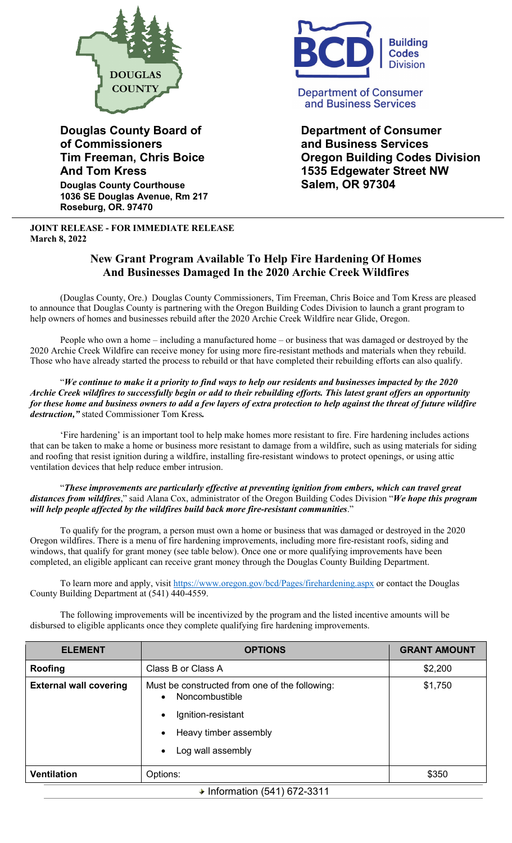

**of Commissioners and Business Services Douglas County Courthouse Salem, OR 97304** 

**1036 SE Douglas Avenue, Rm 217 Roseburg, OR. 97470**

**JOINT RELEASE - FOR IMMEDIATE RELEASE March 8, 2022**



**Department of Consumer** and Business Services

**Douglas County Board of Consumer Consumer Consumer Tim Freeman, Chris Boice Oregon Building Codes Division And Tom Kress 1535 Edgewater Street NW** 

## **New Grant Program Available To Help Fire Hardening Of Homes And Businesses Damaged In the 2020 Archie Creek Wildfires**

(Douglas County, Ore.) Douglas County Commissioners, Tim Freeman, Chris Boice and Tom Kress are pleased to announce that Douglas County is partnering with the Oregon Building Codes Division to launch a grant program to help owners of homes and businesses rebuild after the 2020 Archie Creek Wildfire near Glide, Oregon.

People who own a home – including a manufactured home – or business that was damaged or destroyed by the 2020 Archie Creek Wildfire can receive money for using more fire-resistant methods and materials when they rebuild. Those who have already started the process to rebuild or that have completed their rebuilding efforts can also qualify.

"*We continue to make it a priority to find ways to help our residents and businesses impacted by the 2020 Archie Creek wildfires to successfully begin or add to their rebuilding efforts. This latest grant offers an opportunity for these home and business owners to add a few layers of extra protection to help against the threat of future wildfire destruction,"* stated Commissioner Tom Kress*.* 

'Fire hardening' is an important tool to help make homes more resistant to fire. Fire hardening includes actions that can be taken to make a home or business more resistant to damage from a wildfire, such as using materials for siding and roofing that resist ignition during a wildfire, installing fire-resistant windows to protect openings, or using attic ventilation devices that help reduce ember intrusion.

"*These improvements are particularly effective at preventing ignition from embers, which can travel great distances from wildfires*," said Alana Cox, administrator of the Oregon Building Codes Division "*We hope this program will help people affected by the wildfires build back more fire-resistant communities*."

To qualify for the program, a person must own a home or business that was damaged or destroyed in the 2020 Oregon wildfires. There is a menu of fire hardening improvements, including more fire-resistant roofs, siding and windows, that qualify for grant money (see table below). Once one or more qualifying improvements have been completed, an eligible applicant can receive grant money through the Douglas County Building Department.

To learn more and apply, visit<https://www.oregon.gov/bcd/Pages/firehardening.aspx> or contact the Douglas County Building Department at (541) 440-4559.

The following improvements will be incentivized by the program and the listed incentive amounts will be disbursed to eligible applicants once they complete qualifying fire hardening improvements.

| <b>ELEMENT</b>                | <b>OPTIONS</b>                                                                | <b>GRANT AMOUNT</b> |  |
|-------------------------------|-------------------------------------------------------------------------------|---------------------|--|
| Roofing                       | Class B or Class A                                                            | \$2,200             |  |
| <b>External wall covering</b> | Must be constructed from one of the following:<br>Noncombustible<br>$\bullet$ | \$1,750             |  |
|                               | Ignition-resistant<br>$\bullet$                                               |                     |  |
|                               | Heavy timber assembly<br>$\bullet$                                            |                     |  |
|                               | Log wall assembly<br>$\bullet$                                                |                     |  |
| <b>Ventilation</b>            | Options:                                                                      | \$350               |  |
| ♦ Information (541) 672-3311  |                                                                               |                     |  |